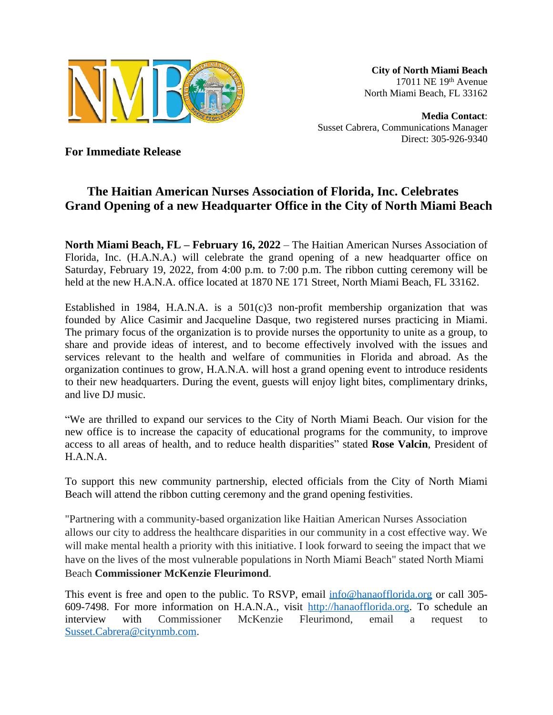

**City of North Miami Beach** 17011 NE 19th Avenue North Miami Beach, FL 33162

**Media Contact**: Susset Cabrera, Communications Manager Direct: 305-926-9340

**For Immediate Release**

## **The Haitian American Nurses Association of Florida, Inc. Celebrates Grand Opening of a new Headquarter Office in the City of North Miami Beach**

**North Miami Beach, FL – February 16, 2022** – The Haitian American Nurses Association of Florida, Inc. (H.A.N.A.) will celebrate the grand opening of a new headquarter office on Saturday, February 19, 2022, from 4:00 p.m. to 7:00 p.m. The ribbon cutting ceremony will be held at the new H.A.N.A. office located at 1870 NE 171 Street, North Miami Beach, FL 33162.

Established in 1984, H.A.N.A. is a  $501(c)3$  non-profit membership organization that was founded by Alice Casimir and Jacqueline Dasque, two registered nurses practicing in Miami. The primary focus of the organization is to provide nurses the opportunity to unite as a group, to share and provide ideas of interest, and to become effectively involved with the issues and services relevant to the health and welfare of communities in Florida and abroad. As the organization continues to grow, H.A.N.A. will host a grand opening event to introduce residents to their new headquarters. During the event, guests will enjoy light bites, complimentary drinks, and live DJ music.

"We are thrilled to expand our services to the City of North Miami Beach. Our vision for the new office is to increase the capacity of educational programs for the community, to improve access to all areas of health, and to reduce health disparities" stated **Rose Valcin**, President of H.A.N.A.

To support this new community partnership, elected officials from the City of North Miami Beach will attend the ribbon cutting ceremony and the grand opening festivities.

"Partnering with a community-based organization like Haitian American Nurses Association allows our city to address the healthcare disparities in our community in a cost effective way. We will make mental health a priority with this initiative. I look forward to seeing the impact that we have on the lives of the most vulnerable populations in North Miami Beach" stated North Miami Beach **Commissioner McKenzie Fleurimond**.

This event is free and open to the public. To RSVP, email  $\frac{info@hanaofflorida.org}{info@hanaofflorida.org}$  $\frac{info@hanaofflorida.org}{info@hanaofflorida.org}$  $\frac{info@hanaofflorida.org}{info@hanaofflorida.org}$  or call 305-609-7498. For more information on H.A.N.A., visit <http://hanaofflorida.org>. To schedule an interview with Commissioner McKenzie Fleurimond, email a request to [Susset.Cabrera@citynmb.com.](mailto:Susset.Cabrera@citynmb.com)